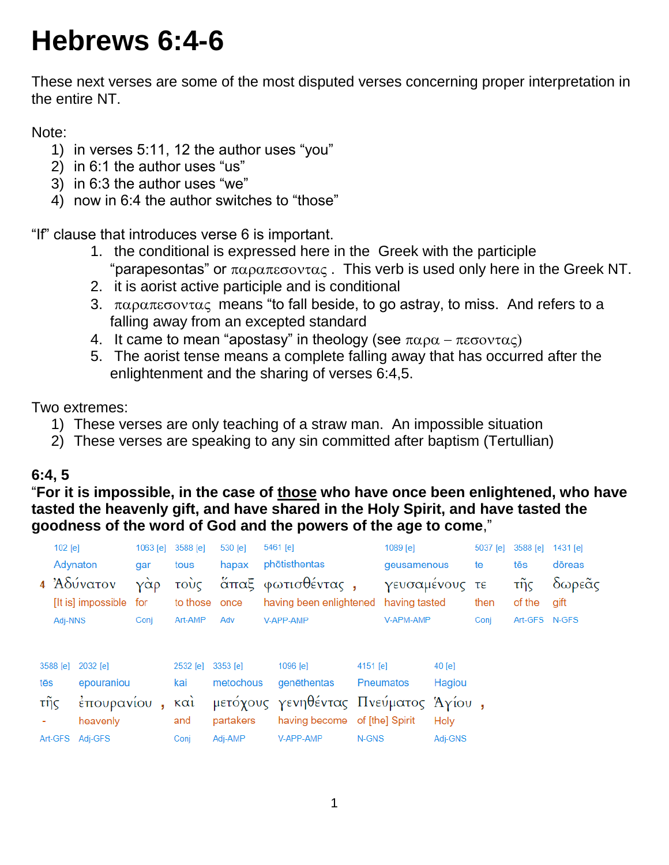# **Hebrews 6:4-6**

These next verses are some of the most disputed verses concerning proper interpretation in the entire NT.

Note:

- 1) in verses 5:11, 12 the author uses "you"
- 2) in 6:1 the author uses "us"
- 3) in 6:3 the author uses "we"
- 4) now in 6:4 the author switches to "those"

"If" clause that introduces verse 6 is important.

- 1. the conditional is expressed here in the Greek with the participle "parapesontas" or  $\pi \alpha \rho \alpha \pi \epsilon \sigma \text{ov} \alpha \varsigma$ . This verb is used only here in the Greek NT.
- 2. it is aorist active participle and is conditional
- 3.  $\pi\alpha\rho\alpha\pi\varepsilon\sigma\text{ov}\tau\alpha\zeta$  means "to fall beside, to go astray, to miss. And refers to a falling away from an excepted standard
- 4. It came to mean "apostasy" in theology (see  $\pi\alpha\rho\alpha \pi\varepsilon\sigma\alpha\nu\tau\alpha\zeta$ )
- 5. The aorist tense means a complete falling away that has occurred after the enlightenment and the sharing of verses 6:4,5.

Two extremes:

- 1) These verses are only teaching of a straw man. An impossible situation
- 2) These verses are speaking to any sin committed after baptism (Tertullian)

## **6:4, 5**

## "**For it is impossible, in the case of those who have once been enlightened, who have tasted the heavenly gift, and have shared in the Holy Spirit, and have tasted the goodness of the word of God and the powers of the age to come**,"

|                                           |                                                   |            |                                       |                                               |                                                                                                               | 1089 [e]          |                  |                                       | 5037 [e]      |               |                |  |
|-------------------------------------------|---------------------------------------------------|------------|---------------------------------------|-----------------------------------------------|---------------------------------------------------------------------------------------------------------------|-------------------|------------------|---------------------------------------|---------------|---------------|----------------|--|
| Adynaton<br>gar                           |                                                   |            | tous                                  | hapax                                         | phōtisthentas                                                                                                 |                   | geusamenous      |                                       | te            | tēs           | dōreas         |  |
| 4 Αδύνατον                                | [It is] impossible                                | γὰρ<br>for | τούς<br>to those once                 |                                               | άπαξ φωτισθέντας,<br>having been enlightened having tasted                                                    |                   | γευσαμένους τε   |                                       | then          | τῆς<br>of the | δωρεᾶς<br>gift |  |
|                                           | Conj<br>Adj-NNS                                   |            | Art-AMP                               | Adv<br>V-APP-AMP                              |                                                                                                               | V-APM-AMP         |                  | Conj                                  | Art-GFS N-GFS |               |                |  |
| 3588 [e]<br>tēs<br>τῆς<br>Art-GFS Adj-GFS | 2032 [e]<br>epouraniou<br>έπουρανίου,<br>heavenly |            | 2532 [e]<br>kai<br>καὶ<br>and<br>Conj | 3353 [e]<br>metochous<br>partakers<br>Adj-AMP | 1096 [e]<br>genēthentas<br>μετόχους γενηθέντας Πνεύματος Άγίου,<br>having become of [the] Spirit<br>V-APP-AMP | 4151 [e]<br>N-GNS | <b>Pneumatos</b> | $40$ [e]<br>Hagiou<br>Holy<br>Adj-GNS |               |               |                |  |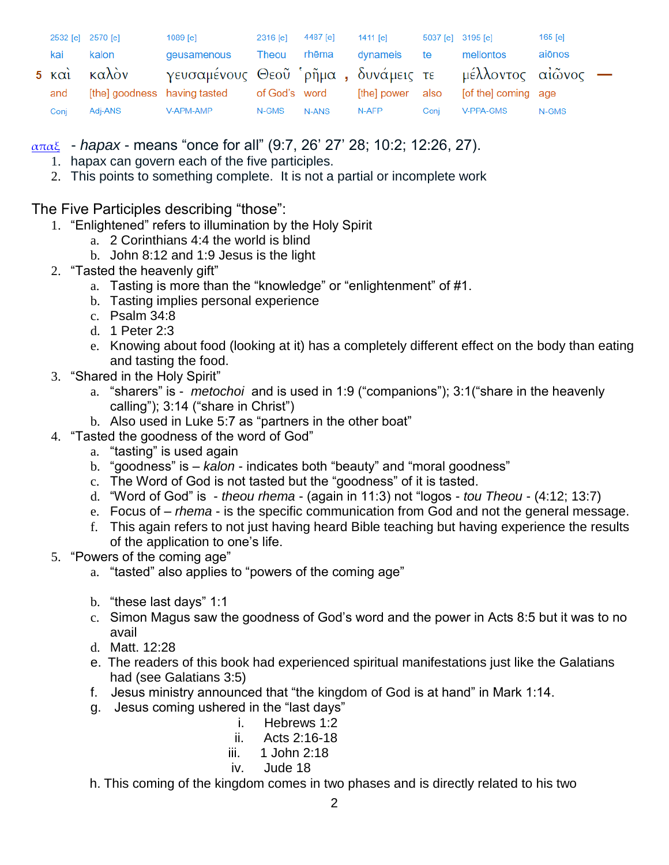|      | 2532 [e] 2570 [e] | 1089 [e]                                              | 2316 [e] | 4487 [e] | 1411 [e]         | 5037 [e] 3195 [e] |                     | $165$ [e] |  |
|------|-------------------|-------------------------------------------------------|----------|----------|------------------|-------------------|---------------------|-----------|--|
| kai  | kalon             | geusamenous                                           | Theou    | rhēma    | dvnameis         | te                | mellontos           | aiōnos    |  |
|      | 5 και καλον       | γευσαμένους Θεοῦ ρῆμα, δυνάμεις τε μέλλοντος αἰῶνος — |          |          |                  |                   |                     |           |  |
| and  |                   | [the] goodness having tasted of God's word            |          |          | [the] power also |                   | [of the] coming age |           |  |
| Conj | Adj-ANS           | V-APM-AMP                                             | N-GMS    | N-ANS    | N-AFP            | Conj              | V-PPA-GMS           | N-GMS     |  |

[απαξ](http://strongsnumbers.com/greek/530.htm) - *hapax* - means "once for all" (9:7, 26' 27' 28; 10:2; 12:26, 27).

- 1. hapax can govern each of the five participles.
- 2. This points to something complete. It is not a partial or incomplete work

The Five Participles describing "those":

- 1. "Enlightened" refers to illumination by the Holy Spirit
	- a. 2 Corinthians 4:4 the world is blind
	- b. John 8:12 and 1:9 Jesus is the light
- 2. "Tasted the heavenly gift"
	- a. Tasting is more than the "knowledge" or "enlightenment" of #1.
	- b. Tasting implies personal experience
	- c. Psalm 34:8
	- d. 1 Peter 2:3
	- e. Knowing about food (looking at it) has a completely different effect on the body than eating and tasting the food.
- 3. "Shared in the Holy Spirit"
	- a. "sharers" is *metochoi* and is used in 1:9 ("companions"); 3:1("share in the heavenly calling"); 3:14 ("share in Christ")
	- b. Also used in Luke 5:7 as "partners in the other boat"
- 4. "Tasted the goodness of the word of God"
	- a. "tasting" is used again
	- b. "goodness" is *kalon* indicates both "beauty" and "moral goodness"
	- c. The Word of God is not tasted but the "goodness" of it is tasted.
	- d. "Word of God" is *theou rhema* (again in 11:3) not "logos *tou Theou* (4:12; 13:7)
	- e. Focus of *rhema* is the specific communication from God and not the general message.
	- f. This again refers to not just having heard Bible teaching but having experience the results of the application to one's life.
- 5. "Powers of the coming age"
	- a. "tasted" also applies to "powers of the coming age"
	- b. "these last days" 1:1
	- c. Simon Magus saw the goodness of God's word and the power in Acts 8:5 but it was to no avail
	- d. Matt. 12:28
	- e. The readers of this book had experienced spiritual manifestations just like the Galatians had (see Galatians 3:5)
	- f. Jesus ministry announced that "the kingdom of God is at hand" in Mark 1:14.
	- g. Jesus coming ushered in the "last days"
		- i. Hebrews 1:2
		- ii. Acts 2:16-18
		- iii. 1 John 2:18
		- iv. Jude 18
	- h. This coming of the kingdom comes in two phases and is directly related to his two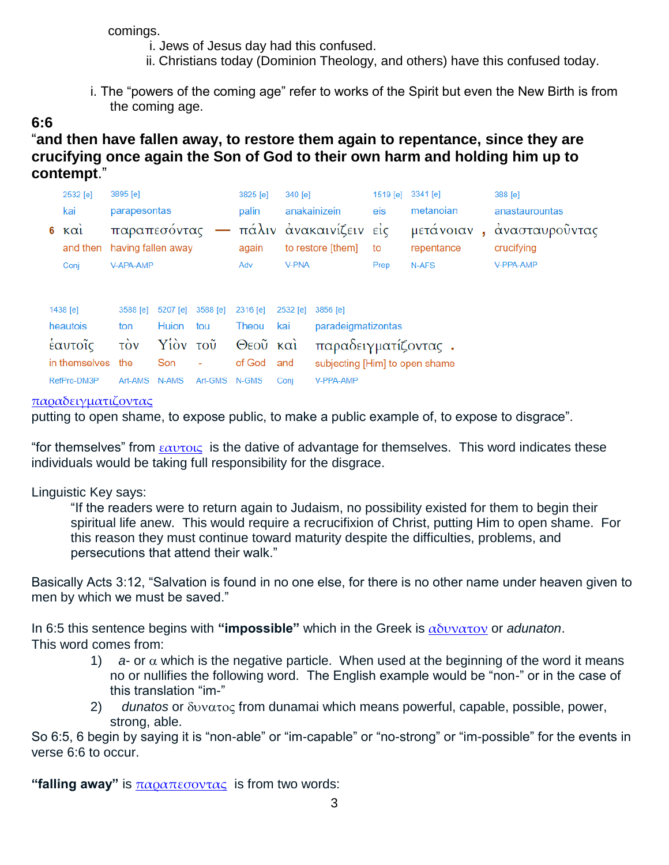comings.

i. Jews of Jesus day had this confused.

- ii. Christians today (Dominion Theology, and others) have this confused today.
- i. The "powers of the coming age" refer to works of the Spirit but even the New Birth is from the coming age.

### **6:6**

"**and then have fallen away, to restore them again to repentance, since they are crucifying once again the Son of God to their own harm and holding him up to contempt**."

|                                            | 2532 [e]<br>3895 [e]          |                                                             |              | 3825 [e] | 340 [e]<br>anakainizein |                   | $1519$ [e]                     | 3341 [e]<br>metanoian |                         | 388 [e] |                              |  |
|--------------------------------------------|-------------------------------|-------------------------------------------------------------|--------------|----------|-------------------------|-------------------|--------------------------------|-----------------------|-------------------------|---------|------------------------------|--|
|                                            | kai<br>parapesontas           |                                                             | palin        | eis      |                         |                   | anastaurountas                 |                       |                         |         |                              |  |
| 6                                          | $\kappa \alpha i$<br>and then | παραπεσόντας — πάλιν ανακαινίζειν είς<br>having fallen away |              |          | again                   | to restore [them] |                                | to                    | μετάνοιαν<br>repentance | x.      | άνασταυροϋντας<br>crucifying |  |
|                                            | Conj                          | V-APA-AMP                                                   |              |          | Adv                     | <b>V-PNA</b>      |                                | Prep                  | N-AFS                   |         | V-PPA-AMP                    |  |
|                                            | 1438 $[e]$                    | 3588 [e]                                                    | 5207 [e]     | 3588 [e] | 2316 [e]                | 2532 [e]          | 3856 <b>[e]</b>                |                       |                         |         |                              |  |
|                                            | heautois                      | ton                                                         | <b>Huion</b> | tou      | Theou                   | kai               | paradeigmatizontas             |                       |                         |         |                              |  |
| έαυτοῖς<br>$\vec{v}$<br>Υίὸν τοῦ           |                               |                                                             | Θεοῦ καὶ     |          | παραδειγματίζοντας.     |                   |                                |                       |                         |         |                              |  |
| in themselves                              |                               | the                                                         | Son          | ٠        | of God                  | and               | subjecting [Him] to open shame |                       |                         |         |                              |  |
| RefPro-DM3P<br>Art-GMS<br>Art-AMS<br>N-AMS |                               |                                                             | N-GMS        | Coni     | V-PPA-AMP               |                   |                                |                       |                         |         |                              |  |

#### [παραδειγματιζοντας](http://strongsnumbers.com/greek/3856.htm)

putting to open shame, to expose public, to make a public example of, to expose to disgrace".

"for themselves" from  $\epsilon \alpha$ υτοις is the dative of advantage for themselves. This word indicates these individuals would be taking full responsibility for the disgrace.

#### Linguistic Key says:

"If the readers were to return again to Judaism, no possibility existed for them to begin their spiritual life anew. This would require a recrucifixion of Christ, putting Him to open shame. For this reason they must continue toward maturity despite the difficulties, problems, and persecutions that attend their walk."

Basically Acts 3:12, "Salvation is found in no one else, for there is no other name under heaven given to men by which we must be saved."

In 6:5 this sentence begins with **"impossible"** which in the Greek is [αδυνατον](http://strongsnumbers.com/greek/102.htm) or *adunaton*. This word comes from:

- 1)  $a$  or  $\alpha$  which is the negative particle. When used at the beginning of the word it means no or nullifies the following word. The English example would be "non-" or in the case of this translation "im-"
- $2)$  *dunatos* or  $\delta$ *v* $\alpha$  $\tau$ *o* $\varsigma$  from dunamai which means powerful, capable, possible, power, strong, able.

So 6:5, 6 begin by saying it is "non-able" or "im-capable" or "no-strong" or "im-possible" for the events in verse 6:6 to occur.

**"falling away"** is [παραπεσοντας](http://strongsnumbers.com/greek/3895.htm) is from two words: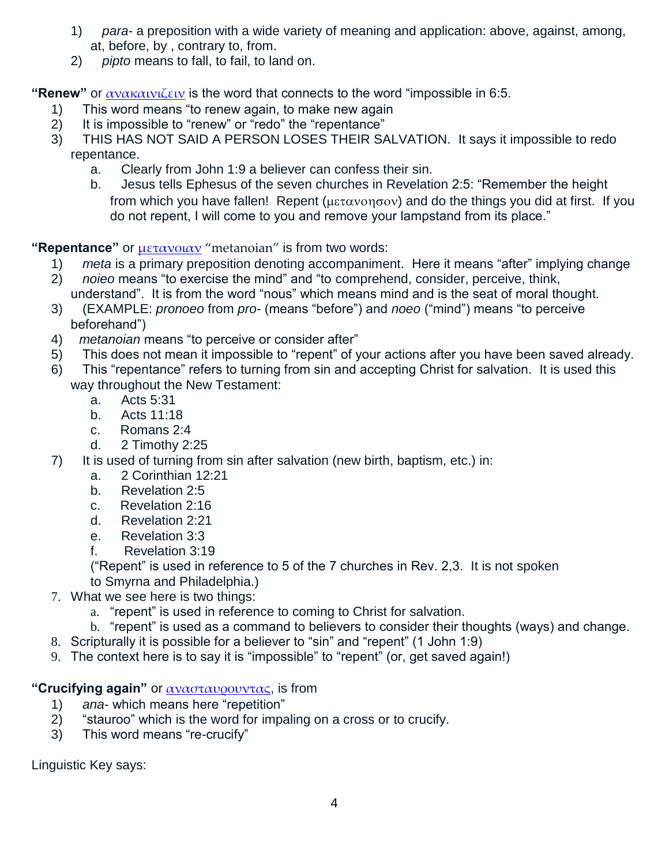- 1) *para* a preposition with a wide variety of meaning and application: above, against, among, at, before, by , contrary to, from.
- 2) *pipto* means to fall, to fail, to land on.

**"Renew"** or [ανακαινιζειν](http://strongsnumbers.com/greek/340.htm) is the word that connects to the word "impossible in 6:5.

- 1) This word means "to renew again, to make new again
- 2) It is impossible to "renew" or "redo" the "repentance"
- 3) THIS HAS NOT SAID A PERSON LOSES THEIR SALVATION. It says it impossible to redo repentance.
	- a. Clearly from John 1:9 a believer can confess their sin.
	- b. Jesus tells Ephesus of the seven churches in Revelation 2:5: "Remember the height from which you have fallen! Repent ( $\mu \epsilon \tau \alpha \nu \alpha \eta \sigma \alpha \nu$ ) and do the things you did at first. If you do not repent, I will come to you and remove your lampstand from its place."

**"Repentance"** or [μετανοιαν](http://strongsnumbers.com/greek/3341.htm) "metanoian" is from two words:

- 1) *meta* is a primary preposition denoting accompaniment. Here it means "after" implying change
- 2) *noieo* means "to exercise the mind" and "to comprehend, consider, perceive, think, understand". It is from the word "nous" which means mind and is the seat of moral thought.
- 3) (EXAMPLE: *pronoeo* from *pro* (means "before") and *noeo* ("mind") means "to perceive beforehand")
- 4) *metanoian* means "to perceive or consider after"
- 5) This does not mean it impossible to "repent" of your actions after you have been saved already.
- 6) This "repentance" refers to turning from sin and accepting Christ for salvation. It is used this way throughout the New Testament:
	- a. Acts 5:31
	- b. Acts 11:18
	- c. Romans 2:4
	- d. 2 Timothy 2:25
- 7) It is used of turning from sin after salvation (new birth, baptism, etc.) in:
	- a. 2 Corinthian 12:21
	- b. Revelation 2:5
	- c. Revelation 2:16
	- d. Revelation 2:21
	- e. Revelation 3:3
	- f. Revelation 3:19

("Repent" is used in reference to 5 of the 7 churches in Rev. 2,3. It is not spoken to Smyrna and Philadelphia.)

- 7. What we see here is two things:
	- a. "repent" is used in reference to coming to Christ for salvation.
	- b. "repent" is used as a command to believers to consider their thoughts (ways) and change.
- 8. Scripturally it is possible for a believer to "sin" and "repent" (1 John 1:9)
- 9. The context here is to say it is "impossible" to "repent" (or, get saved again!)

**"Crucifying again"** or [ανασταυρουντας](http://strongsnumbers.com/greek/388.htm), is from

- 1) *ana* which means here "repetition"
- 2) "stauroo" which is the word for impaling on a cross or to crucify.
- 3) This word means "re-crucify"

Linguistic Key says: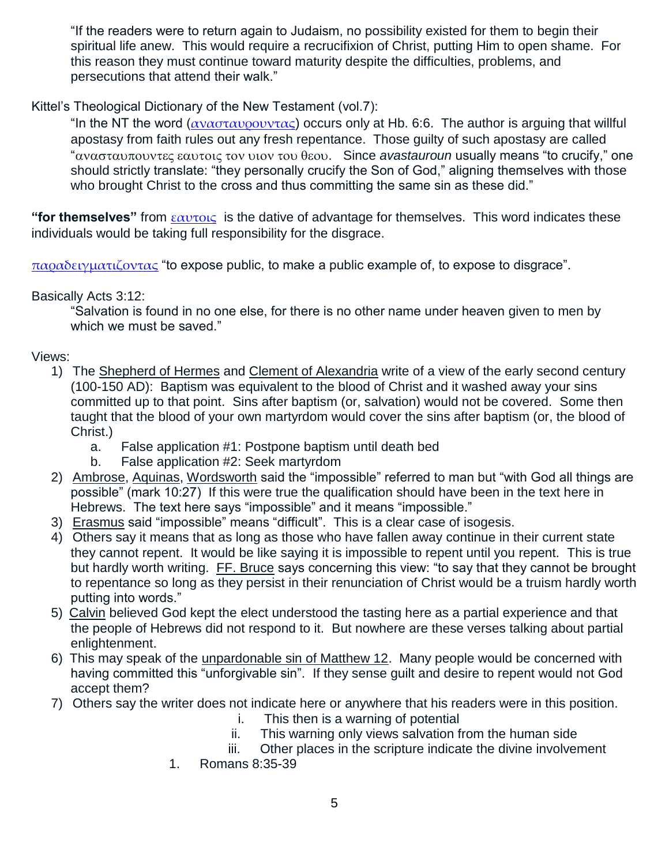"If the readers were to return again to Judaism, no possibility existed for them to begin their spiritual life anew. This would require a recrucifixion of Christ, putting Him to open shame. For this reason they must continue toward maturity despite the difficulties, problems, and persecutions that attend their walk."

Kittel's Theological Dictionary of the New Testament (vol.7):

"In the NT the word ( $\alpha \nu \alpha \sigma \tau \alpha \nu \rho \sigma \nu \nu \tau \alpha \varsigma$ ) occurs only at Hb. 6:6. The author is arguing that willful apostasy from faith rules out any fresh repentance. Those guilty of such apostasy are called "ανασταυπουντες εαυτοις τον υιον του θεου. Since *avastauroun* usually means "to crucify," one should strictly translate: "they personally crucify the Son of God," aligning themselves with those who brought Christ to the cross and thus committing the same sin as these did."

**"for themselves"** from [εαυτοις](http://strongsnumbers.com/greek/1438.htm) is the dative of advantage for themselves. This word indicates these individuals would be taking full responsibility for the disgrace.

 $\pi\alpha\alpha\delta\epsilon\gamma\mu\alpha\tau\zeta\delta\nu\tau\alpha\zeta$  "to expose public, to make a public example of, to expose to disgrace".

Basically Acts 3:12:

"Salvation is found in no one else, for there is no other name under heaven given to men by which we must be saved."

Views:

- 1) The Shepherd of Hermes and Clement of Alexandria write of a view of the early second century (100-150 AD): Baptism was equivalent to the blood of Christ and it washed away your sins committed up to that point. Sins after baptism (or, salvation) would not be covered. Some then taught that the blood of your own martyrdom would cover the sins after baptism (or, the blood of Christ.)
	- a. False application #1: Postpone baptism until death bed
	- b. False application #2: Seek martyrdom
- 2) Ambrose, Aquinas, Wordsworth said the "impossible" referred to man but "with God all things are possible" (mark 10:27) If this were true the qualification should have been in the text here in Hebrews. The text here says "impossible" and it means "impossible."
- 3) Erasmus said "impossible" means "difficult". This is a clear case of isogesis.
- 4) Others say it means that as long as those who have fallen away continue in their current state they cannot repent. It would be like saying it is impossible to repent until you repent. This is true but hardly worth writing. FF. Bruce says concerning this view: "to say that they cannot be brought to repentance so long as they persist in their renunciation of Christ would be a truism hardly worth putting into words."
- 5) Calvin believed God kept the elect understood the tasting here as a partial experience and that the people of Hebrews did not respond to it. But nowhere are these verses talking about partial enlightenment.
- 6) This may speak of the unpardonable sin of Matthew 12. Many people would be concerned with having committed this "unforgivable sin". If they sense guilt and desire to repent would not God accept them?
- 7) Others say the writer does not indicate here or anywhere that his readers were in this position.
	- i. This then is a warning of potential
	- ii. This warning only views salvation from the human side
	- iii. Other places in the scripture indicate the divine involvement
	- 1. Romans 8:35-39